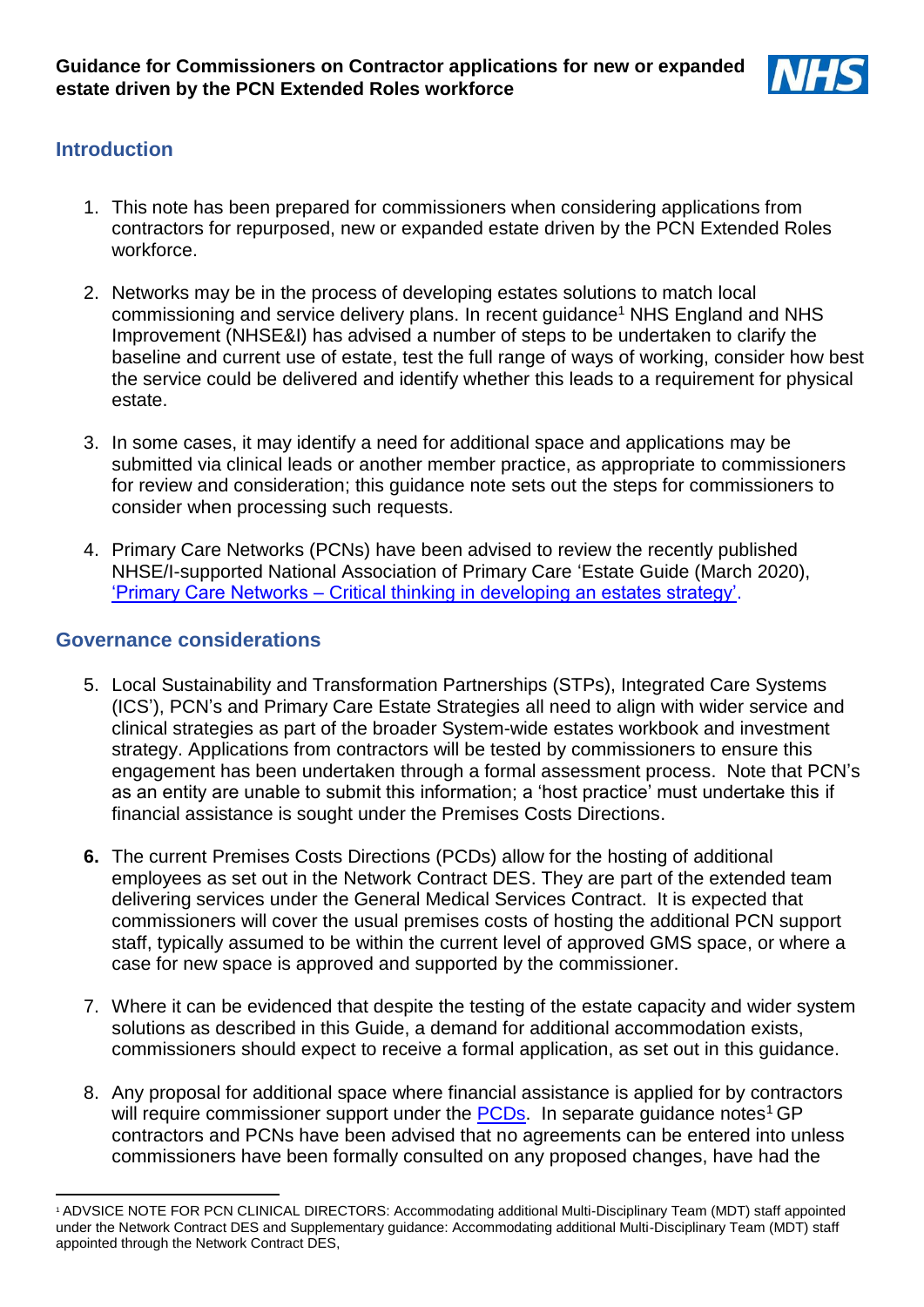

## **Introduction**

- 1. This note has been prepared for commissioners when considering applications from contractors for repurposed, new or expanded estate driven by the PCN Extended Roles workforce.
- 2. Networks may be in the process of developing estates solutions to match local commissioning and service delivery plans. In recent guidance<sup>1</sup> NHS England and NHS Improvement (NHSE&I) has advised a number of steps to be undertaken to clarify the baseline and current use of estate, test the full range of ways of working, consider how best the service could be delivered and identify whether this leads to a requirement for physical estate.
- 3. In some cases, it may identify a need for additional space and applications may be submitted via clinical leads or another member practice, as appropriate to commissioners for review and consideration; this guidance note sets out the steps for commissioners to consider when processing such requests.
- 4. Primary Care Networks (PCNs) have been advised to review the recently published NHSE/I-supported National Association of Primary Care 'Estate Guide (March 2020), 'Primary Care Networks – Critical thinking in [developing an estates strategy'.](https://napc.co.uk/wp-content/PDF/NAPC_estates_guide_web.pdf)

#### **Governance considerations**

**.** 

- 5. Local Sustainability and Transformation Partnerships (STPs), Integrated Care Systems (ICS'), PCN's and Primary Care Estate Strategies all need to align with wider service and clinical strategies as part of the broader System-wide estates workbook and investment strategy. Applications from contractors will be tested by commissioners to ensure this engagement has been undertaken through a formal assessment process. Note that PCN's as an entity are unable to submit this information; a 'host practice' must undertake this if financial assistance is sought under the Premises Costs Directions.
- **6.** The current Premises Costs Directions (PCDs) allow for the hosting of additional employees as set out in the Network Contract DES. They are part of the extended team delivering services under the General Medical Services Contract. It is expected that commissioners will cover the usual premises costs of hosting the additional PCN support staff, typically assumed to be within the current level of approved GMS space, or where a case for new space is approved and supported by the commissioner.
- 7. Where it can be evidenced that despite the testing of the estate capacity and wider system solutions as described in this Guide, a demand for additional accommodation exists, commissioners should expect to receive a formal application, as set out in this guidance.
- 8. Any proposal for additional space where financial assistance is applied for by contractors will require commissioner support under the [PCDs.](https://assets.publishing.service.gov.uk/government/uploads/system/uploads/attachment_data/file/184017/NHS__General_Medical_Services_-_Premises_Costs__Directions_2013.pdf) In separate guidance notes<sup>1</sup> GP contractors and PCNs have been advised that no agreements can be entered into unless commissioners have been formally consulted on any proposed changes, have had the

<sup>1</sup> ADVSICE NOTE FOR PCN CLINICAL DIRECTORS: Accommodating additional Multi-Disciplinary Team (MDT) staff appointed under the Network Contract DES and Supplementary guidance: Accommodating additional Multi-Disciplinary Team (MDT) staff appointed through the Network Contract DES,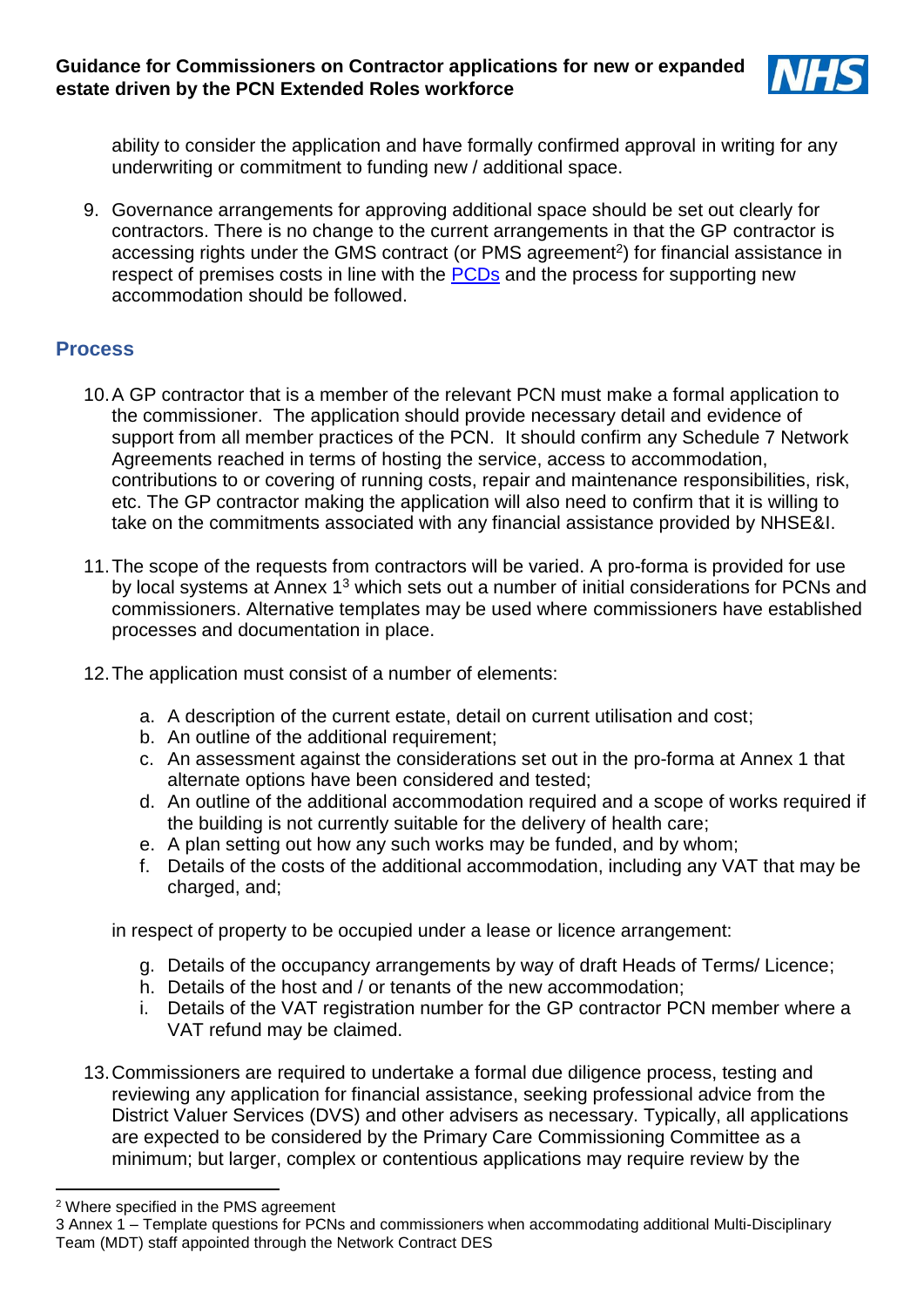

ability to consider the application and have formally confirmed approval in writing for any underwriting or commitment to funding new / additional space.

9. Governance arrangements for approving additional space should be set out clearly for contractors. There is no change to the current arrangements in that the GP contractor is accessing rights under the GMS contract (or PMS agreement<sup>2</sup>) for financial assistance in respect of premises costs in line with the [PCDs](https://assets.publishing.service.gov.uk/government/uploads/system/uploads/attachment_data/file/184017/NHS__General_Medical_Services_-_Premises_Costs__Directions_2013.pdf) and the process for supporting new accommodation should be followed.

## **Process**

- 10.A GP contractor that is a member of the relevant PCN must make a formal application to the commissioner. The application should provide necessary detail and evidence of support from all member practices of the PCN. It should confirm any Schedule 7 Network Agreements reached in terms of hosting the service, access to accommodation, contributions to or covering of running costs, repair and maintenance responsibilities, risk, etc. The GP contractor making the application will also need to confirm that it is willing to take on the commitments associated with any financial assistance provided by NHSE&I.
- 11.The scope of the requests from contractors will be varied. A pro-forma is provided for use by local systems at Annex 1<sup>3</sup> which sets out a number of initial considerations for PCNs and commissioners. Alternative templates may be used where commissioners have established processes and documentation in place.
- 12.The application must consist of a number of elements:
	- a. A description of the current estate, detail on current utilisation and cost;
	- b. An outline of the additional requirement;
	- c. An assessment against the considerations set out in the pro-forma at Annex 1 that alternate options have been considered and tested;
	- d. An outline of the additional accommodation required and a scope of works required if the building is not currently suitable for the delivery of health care;
	- e. A plan setting out how any such works may be funded, and by whom;
	- f. Details of the costs of the additional accommodation, including any VAT that may be charged, and;

in respect of property to be occupied under a lease or licence arrangement:

- g. Details of the occupancy arrangements by way of draft Heads of Terms/ Licence;
- h. Details of the host and / or tenants of the new accommodation;
- i. Details of the VAT registration number for the GP contractor PCN member where a VAT refund may be claimed.
- 13.Commissioners are required to undertake a formal due diligence process, testing and reviewing any application for financial assistance, seeking professional advice from the District Valuer Services (DVS) and other advisers as necessary. Typically, all applications are expected to be considered by the Primary Care Commissioning Committee as a minimum; but larger, complex or contentious applications may require review by the

**.** 

<sup>2</sup> Where specified in the PMS agreement

<sup>3</sup> Annex 1 – Template questions for PCNs and commissioners when accommodating additional Multi-Disciplinary Team (MDT) staff appointed through the Network Contract DES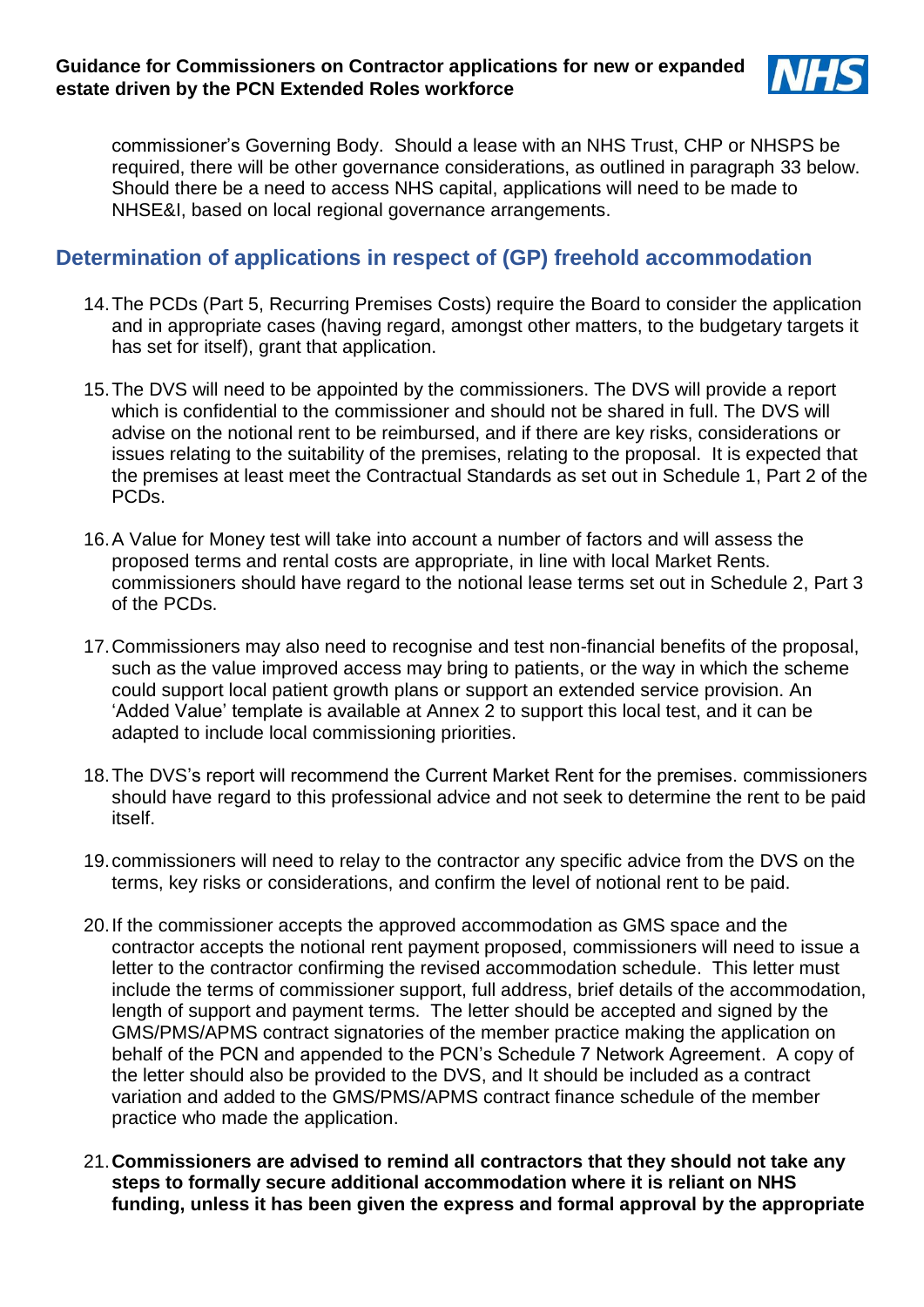

commissioner's Governing Body. Should a lease with an NHS Trust, CHP or NHSPS be required, there will be other governance considerations, as outlined in paragraph 33 below. Should there be a need to access NHS capital, applications will need to be made to NHSE&I, based on local regional governance arrangements.

# **Determination of applications in respect of (GP) freehold accommodation**

- 14.The PCDs (Part 5, Recurring Premises Costs) require the Board to consider the application and in appropriate cases (having regard, amongst other matters, to the budgetary targets it has set for itself), grant that application.
- 15.The DVS will need to be appointed by the commissioners. The DVS will provide a report which is confidential to the commissioner and should not be shared in full. The DVS will advise on the notional rent to be reimbursed, and if there are key risks, considerations or issues relating to the suitability of the premises, relating to the proposal. It is expected that the premises at least meet the Contractual Standards as set out in Schedule 1, Part 2 of the PCDs.
- 16.A Value for Money test will take into account a number of factors and will assess the proposed terms and rental costs are appropriate, in line with local Market Rents. commissioners should have regard to the notional lease terms set out in Schedule 2, Part 3 of the PCDs.
- 17.Commissioners may also need to recognise and test non-financial benefits of the proposal, such as the value improved access may bring to patients, or the way in which the scheme could support local patient growth plans or support an extended service provision. An 'Added Value' template is available at Annex 2 to support this local test, and it can be adapted to include local commissioning priorities.
- 18.The DVS's report will recommend the Current Market Rent for the premises. commissioners should have regard to this professional advice and not seek to determine the rent to be paid itself.
- 19.commissioners will need to relay to the contractor any specific advice from the DVS on the terms, key risks or considerations, and confirm the level of notional rent to be paid.
- 20.If the commissioner accepts the approved accommodation as GMS space and the contractor accepts the notional rent payment proposed, commissioners will need to issue a letter to the contractor confirming the revised accommodation schedule. This letter must include the terms of commissioner support, full address, brief details of the accommodation, length of support and payment terms. The letter should be accepted and signed by the GMS/PMS/APMS contract signatories of the member practice making the application on behalf of the PCN and appended to the PCN's Schedule 7 Network Agreement. A copy of the letter should also be provided to the DVS, and It should be included as a contract variation and added to the GMS/PMS/APMS contract finance schedule of the member practice who made the application.
- 21.**Commissioners are advised to remind all contractors that they should not take any steps to formally secure additional accommodation where it is reliant on NHS funding, unless it has been given the express and formal approval by the appropriate**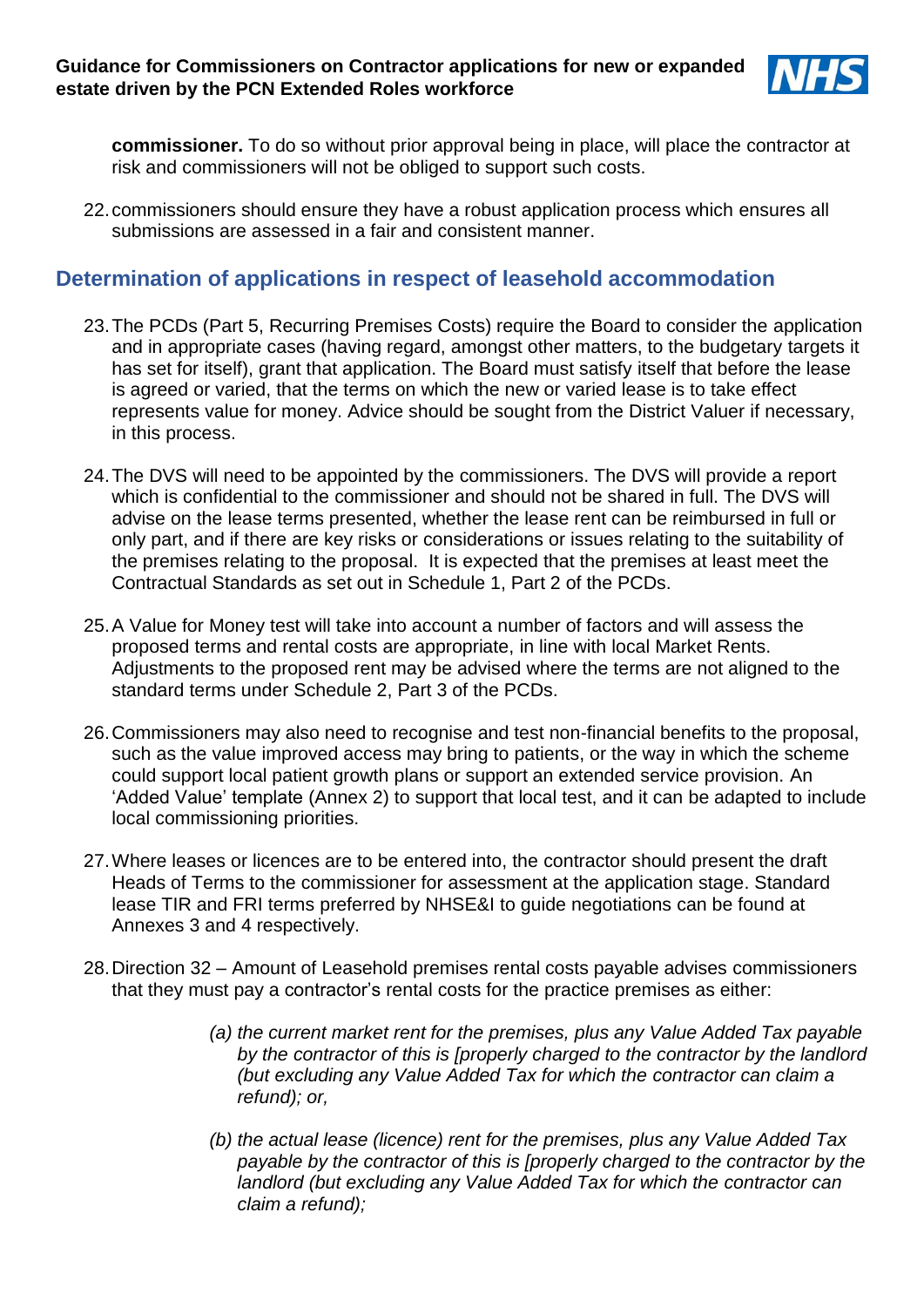

**commissioner.** To do so without prior approval being in place, will place the contractor at risk and commissioners will not be obliged to support such costs.

22.commissioners should ensure they have a robust application process which ensures all submissions are assessed in a fair and consistent manner.

# **Determination of applications in respect of leasehold accommodation**

- 23.The PCDs (Part 5, Recurring Premises Costs) require the Board to consider the application and in appropriate cases (having regard, amongst other matters, to the budgetary targets it has set for itself), grant that application. The Board must satisfy itself that before the lease is agreed or varied, that the terms on which the new or varied lease is to take effect represents value for money. Advice should be sought from the District Valuer if necessary, in this process.
- 24.The DVS will need to be appointed by the commissioners. The DVS will provide a report which is confidential to the commissioner and should not be shared in full. The DVS will advise on the lease terms presented, whether the lease rent can be reimbursed in full or only part, and if there are key risks or considerations or issues relating to the suitability of the premises relating to the proposal. It is expected that the premises at least meet the Contractual Standards as set out in Schedule 1, Part 2 of the PCDs.
- 25.A Value for Money test will take into account a number of factors and will assess the proposed terms and rental costs are appropriate, in line with local Market Rents. Adjustments to the proposed rent may be advised where the terms are not aligned to the standard terms under Schedule 2, Part 3 of the PCDs.
- 26.Commissioners may also need to recognise and test non-financial benefits to the proposal, such as the value improved access may bring to patients, or the way in which the scheme could support local patient growth plans or support an extended service provision. An 'Added Value' template (Annex 2) to support that local test, and it can be adapted to include local commissioning priorities.
- 27.Where leases or licences are to be entered into, the contractor should present the draft Heads of Terms to the commissioner for assessment at the application stage. Standard lease TIR and FRI terms preferred by NHSE&I to guide negotiations can be found at Annexes 3 and 4 respectively.
- 28.Direction 32 Amount of Leasehold premises rental costs payable advises commissioners that they must pay a contractor's rental costs for the practice premises as either:
	- *(a) the current market rent for the premises, plus any Value Added Tax payable by the contractor of this is [properly charged to the contractor by the landlord (but excluding any Value Added Tax for which the contractor can claim a refund); or,*
	- *(b) the actual lease (licence) rent for the premises, plus any Value Added Tax payable by the contractor of this is [properly charged to the contractor by the landlord (but excluding any Value Added Tax for which the contractor can claim a refund);*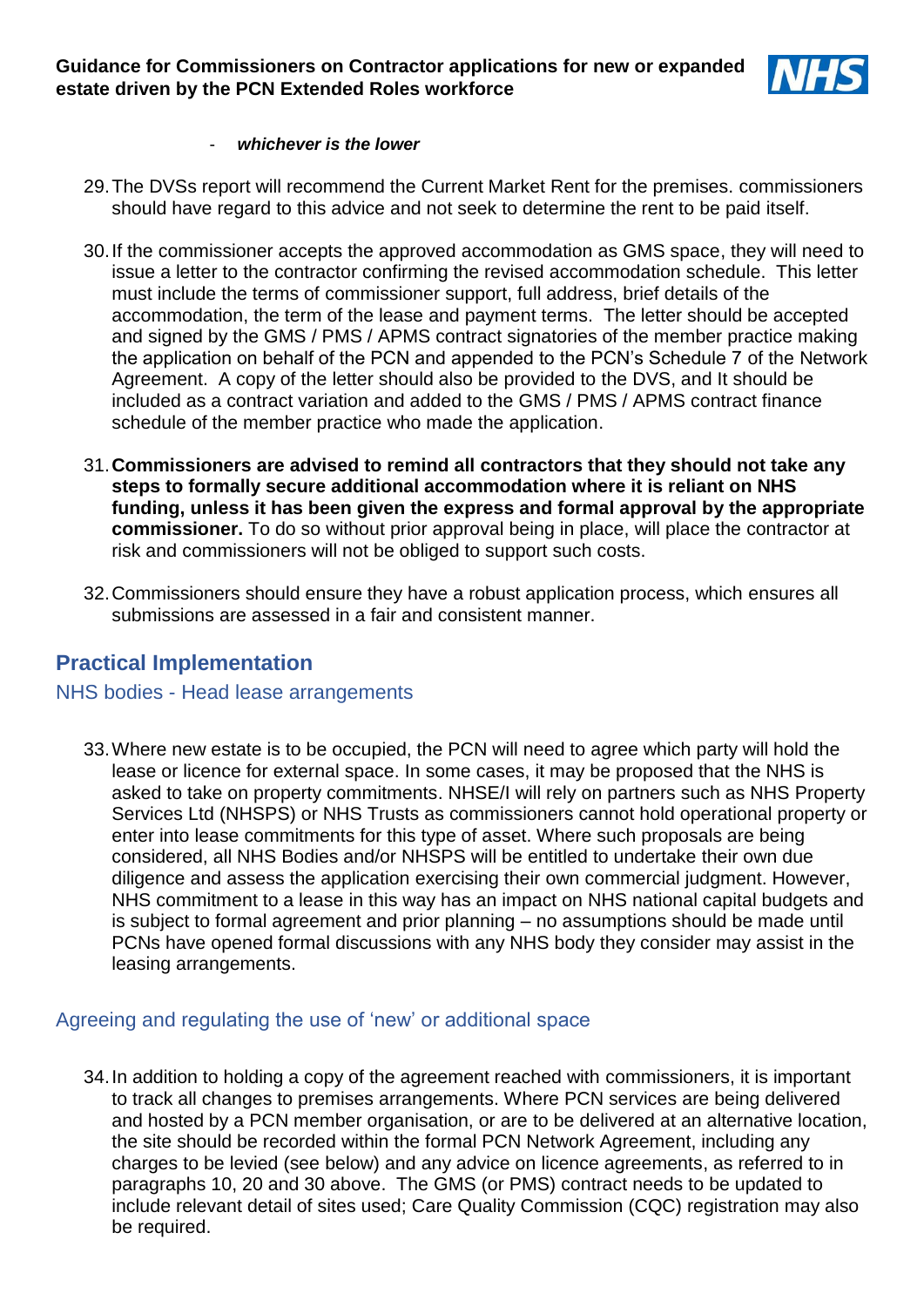

#### - *whichever is the lower*

- 29.The DVSs report will recommend the Current Market Rent for the premises. commissioners should have regard to this advice and not seek to determine the rent to be paid itself.
- 30.If the commissioner accepts the approved accommodation as GMS space, they will need to issue a letter to the contractor confirming the revised accommodation schedule. This letter must include the terms of commissioner support, full address, brief details of the accommodation, the term of the lease and payment terms. The letter should be accepted and signed by the GMS / PMS / APMS contract signatories of the member practice making the application on behalf of the PCN and appended to the PCN's Schedule 7 of the Network Agreement. A copy of the letter should also be provided to the DVS, and It should be included as a contract variation and added to the GMS / PMS / APMS contract finance schedule of the member practice who made the application.
- 31.**Commissioners are advised to remind all contractors that they should not take any steps to formally secure additional accommodation where it is reliant on NHS funding, unless it has been given the express and formal approval by the appropriate commissioner.** To do so without prior approval being in place, will place the contractor at risk and commissioners will not be obliged to support such costs.
- 32.Commissioners should ensure they have a robust application process, which ensures all submissions are assessed in a fair and consistent manner.

## **Practical Implementation**

#### NHS bodies - Head lease arrangements

33.Where new estate is to be occupied, the PCN will need to agree which party will hold the lease or licence for external space. In some cases, it may be proposed that the NHS is asked to take on property commitments. NHSE/I will rely on partners such as NHS Property Services Ltd (NHSPS) or NHS Trusts as commissioners cannot hold operational property or enter into lease commitments for this type of asset. Where such proposals are being considered, all NHS Bodies and/or NHSPS will be entitled to undertake their own due diligence and assess the application exercising their own commercial judgment. However, NHS commitment to a lease in this way has an impact on NHS national capital budgets and is subject to formal agreement and prior planning – no assumptions should be made until PCNs have opened formal discussions with any NHS body they consider may assist in the leasing arrangements.

### Agreeing and regulating the use of 'new' or additional space

34.In addition to holding a copy of the agreement reached with commissioners, it is important to track all changes to premises arrangements. Where PCN services are being delivered and hosted by a PCN member organisation, or are to be delivered at an alternative location, the site should be recorded within the formal PCN Network Agreement, including any charges to be levied (see below) and any advice on licence agreements, as referred to in paragraphs 10, 20 and 30 above. The GMS (or PMS) contract needs to be updated to include relevant detail of sites used; Care Quality Commission (CQC) registration may also be required.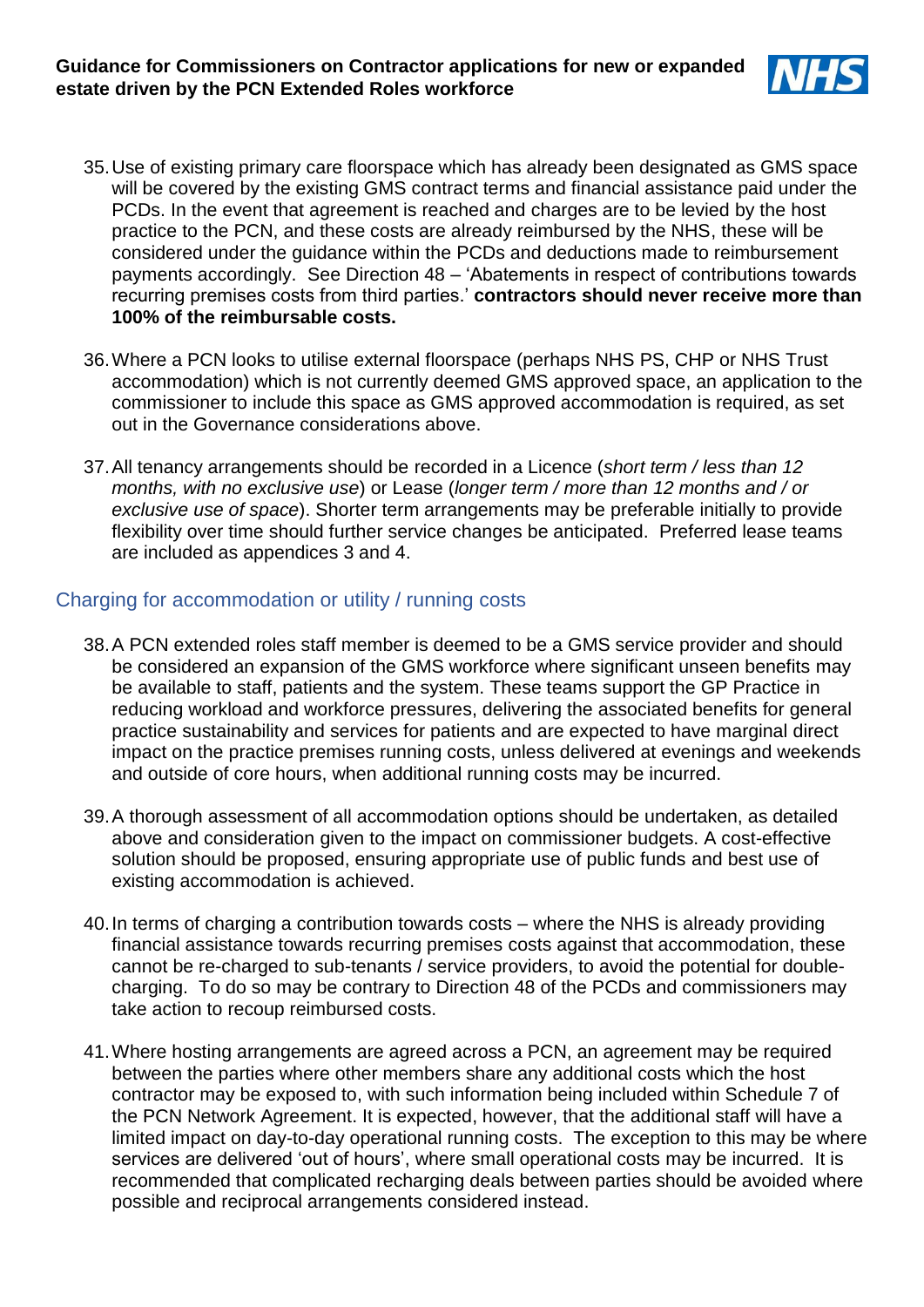

- 35.Use of existing primary care floorspace which has already been designated as GMS space will be covered by the existing GMS contract terms and financial assistance paid under the PCDs. In the event that agreement is reached and charges are to be levied by the host practice to the PCN, and these costs are already reimbursed by the NHS, these will be considered under the guidance within the PCDs and deductions made to reimbursement payments accordingly. See Direction 48 – 'Abatements in respect of contributions towards recurring premises costs from third parties.' **contractors should never receive more than 100% of the reimbursable costs.**
- 36.Where a PCN looks to utilise external floorspace (perhaps NHS PS, CHP or NHS Trust accommodation) which is not currently deemed GMS approved space, an application to the commissioner to include this space as GMS approved accommodation is required, as set out in the Governance considerations above.
- 37.All tenancy arrangements should be recorded in a Licence (*short term / less than 12 months, with no exclusive use*) or Lease (*longer term / more than 12 months and / or exclusive use of space*). Shorter term arrangements may be preferable initially to provide flexibility over time should further service changes be anticipated. Preferred lease teams are included as appendices 3 and 4.

### Charging for accommodation or utility / running costs

- 38.A PCN extended roles staff member is deemed to be a GMS service provider and should be considered an expansion of the GMS workforce where significant unseen benefits may be available to staff, patients and the system. These teams support the GP Practice in reducing workload and workforce pressures, delivering the associated benefits for general practice sustainability and services for patients and are expected to have marginal direct impact on the practice premises running costs, unless delivered at evenings and weekends and outside of core hours, when additional running costs may be incurred.
- 39.A thorough assessment of all accommodation options should be undertaken, as detailed above and consideration given to the impact on commissioner budgets. A cost-effective solution should be proposed, ensuring appropriate use of public funds and best use of existing accommodation is achieved.
- 40.In terms of charging a contribution towards costs where the NHS is already providing financial assistance towards recurring premises costs against that accommodation, these cannot be re-charged to sub-tenants / service providers, to avoid the potential for doublecharging. To do so may be contrary to Direction 48 of the PCDs and commissioners may take action to recoup reimbursed costs.
- 41.Where hosting arrangements are agreed across a PCN, an agreement may be required between the parties where other members share any additional costs which the host contractor may be exposed to, with such information being included within Schedule 7 of the PCN Network Agreement. It is expected, however, that the additional staff will have a limited impact on day-to-day operational running costs. The exception to this may be where services are delivered 'out of hours', where small operational costs may be incurred. It is recommended that complicated recharging deals between parties should be avoided where possible and reciprocal arrangements considered instead.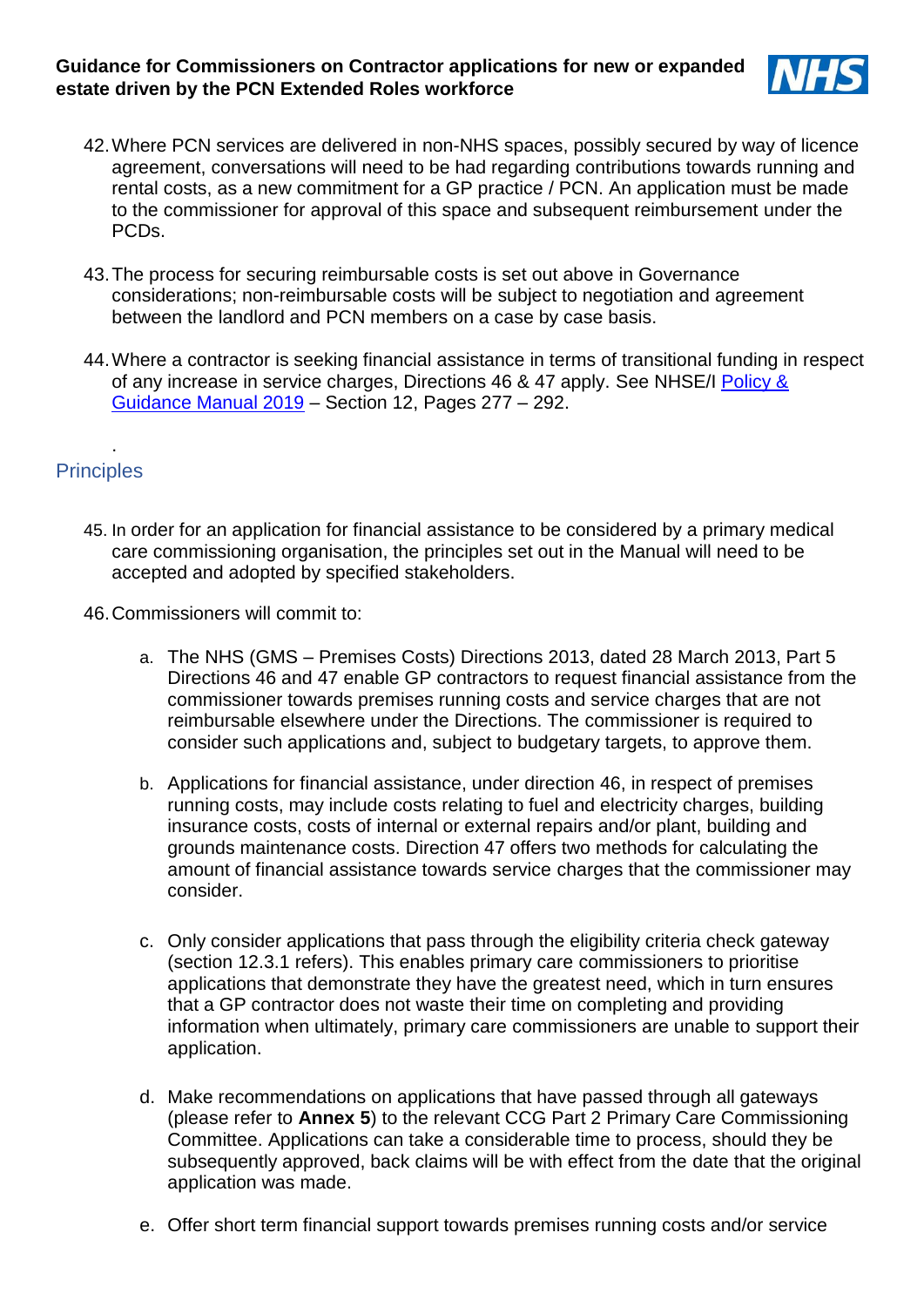

- 42.Where PCN services are delivered in non-NHS spaces, possibly secured by way of licence agreement, conversations will need to be had regarding contributions towards running and rental costs, as a new commitment for a GP practice / PCN. An application must be made to the commissioner for approval of this space and subsequent reimbursement under the PCDs.
- 43.The process for securing reimbursable costs is set out above in Governance considerations; non-reimbursable costs will be subject to negotiation and agreement between the landlord and PCN members on a case by case basis.
- 44.Where a contractor is seeking financial assistance in terms of transitional funding in respect of any increase in service charges, Directions 46 & 47 apply. See NHSE/I Policy & [Guidance Manual 2019](https://www.england.nhs.uk/publication/primary-medical-care-policy-and-guidance-manual-pgm/) – Section 12, Pages 277 – 292.

### **Principles**

.

- 45. In order for an application for financial assistance to be considered by a primary medical care commissioning organisation, the principles set out in the Manual will need to be accepted and adopted by specified stakeholders.
- 46.Commissioners will commit to:
	- a. The NHS (GMS Premises Costs) Directions 2013, dated 28 March 2013, Part 5 Directions 46 and 47 enable GP contractors to request financial assistance from the commissioner towards premises running costs and service charges that are not reimbursable elsewhere under the Directions. The commissioner is required to consider such applications and, subject to budgetary targets, to approve them.
	- b. Applications for financial assistance, under direction 46, in respect of premises running costs, may include costs relating to fuel and electricity charges, building insurance costs, costs of internal or external repairs and/or plant, building and grounds maintenance costs. Direction 47 offers two methods for calculating the amount of financial assistance towards service charges that the commissioner may consider.
	- c. Only consider applications that pass through the eligibility criteria check gateway (section 12.3.1 refers). This enables primary care commissioners to prioritise applications that demonstrate they have the greatest need, which in turn ensures that a GP contractor does not waste their time on completing and providing information when ultimately, primary care commissioners are unable to support their application.
	- d. Make recommendations on applications that have passed through all gateways (please refer to **Annex 5**) to the relevant CCG Part 2 Primary Care Commissioning Committee. Applications can take a considerable time to process, should they be subsequently approved, back claims will be with effect from the date that the original application was made.
	- e. Offer short term financial support towards premises running costs and/or service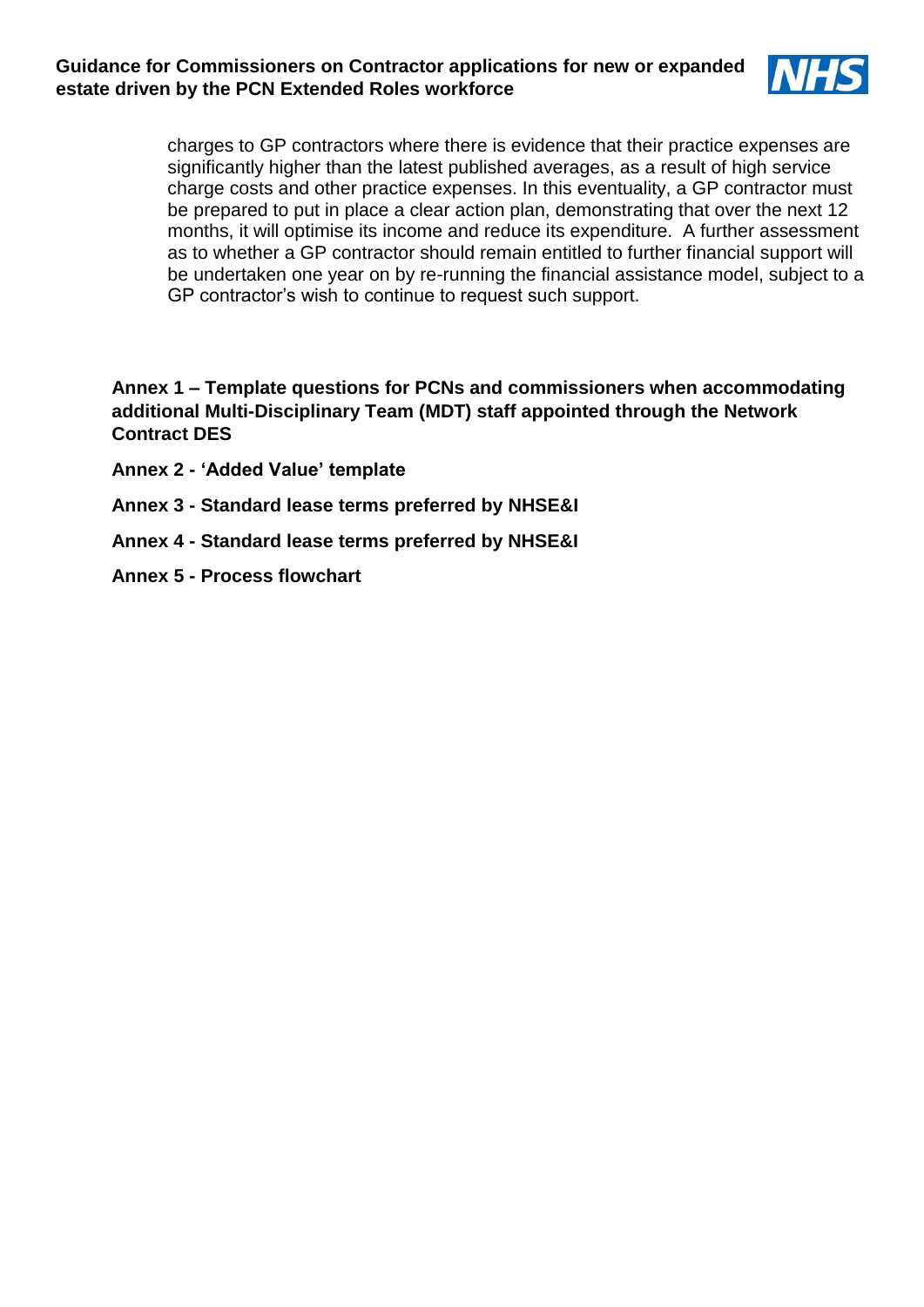

charges to GP contractors where there is evidence that their practice expenses are significantly higher than the latest published averages, as a result of high service charge costs and other practice expenses. In this eventuality, a GP contractor must be prepared to put in place a clear action plan, demonstrating that over the next 12 months, it will optimise its income and reduce its expenditure. A further assessment as to whether a GP contractor should remain entitled to further financial support will be undertaken one year on by re-running the financial assistance model, subject to a GP contractor's wish to continue to request such support.

**Annex 1 – Template questions for PCNs and commissioners when accommodating additional Multi-Disciplinary Team (MDT) staff appointed through the Network Contract DES**

- **Annex 2 - 'Added Value' template**
- **Annex 3 - Standard lease terms preferred by NHSE&I**
- **Annex 4 - Standard lease terms preferred by NHSE&I**
- **Annex 5 - Process flowchart**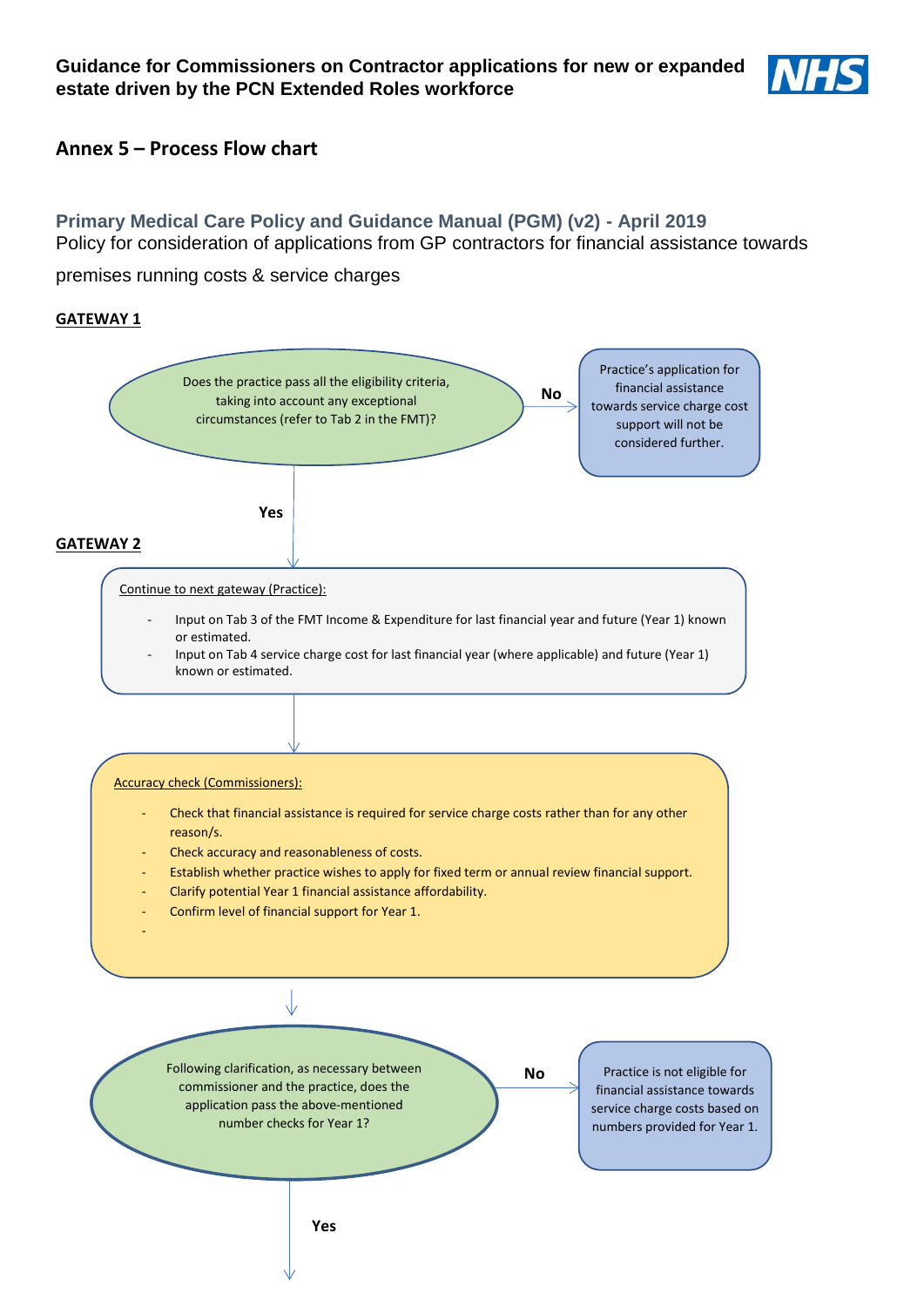

### **Annex 5 – Process Flow chart**

### **Primary Medical Care Policy and Guidance Manual (PGM) (v2) - April 2019** Policy for consideration of applications from GP contractors for financial assistance towards

premises running costs & service charges

#### **GATEWAY 1**